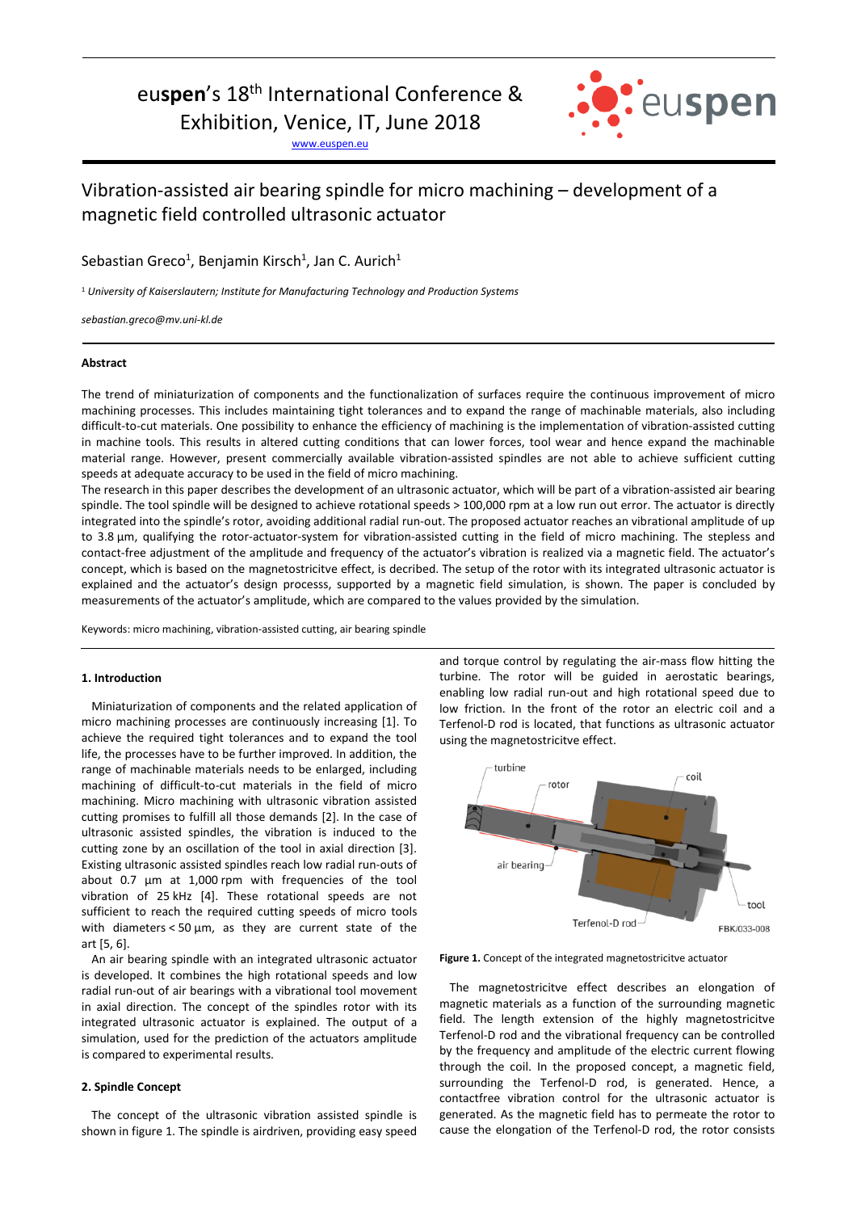# euspen's 18<sup>th</sup> International Conference &

Exhibition, Venice, IT, June 2018

www.euspen.eu



## Vibration-assisted air bearing spindle for micro machining – development of a magnetic field controlled ultrasonic actuator

Sebastian Greco<sup>1</sup>, Benjamin Kirsch<sup>1</sup>, Jan C. Aurich<sup>1</sup>

1  *University of Kaiserslautern; Institute for Manufacturing Technology and Production Systems* 

*sebastian.greco@mv.uni-kl.de*

## **Abstract**

The trend of miniaturization of components and the functionalization of surfaces require the continuous improvement of micro machining processes. This includes maintaining tight tolerances and to expand the range of machinable materials, also including difficult-to-cut materials. One possibility to enhance the efficiency of machining is the implementation of vibration-assisted cutting in machine tools. This results in altered cutting conditions that can lower forces, tool wear and hence expand the machinable material range. However, present commercially available vibration-assisted spindles are not able to achieve sufficient cutting speeds at adequate accuracy to be used in the field of micro machining.

The research in this paper describes the development of an ultrasonic actuator, which will be part of a vibration-assisted air bearing spindle. The tool spindle will be designed to achieve rotational speeds > 100,000 rpm at a low run out error. The actuator is directly integrated into the spindle's rotor, avoiding additional radial run-out. The proposed actuator reaches an vibrational amplitude of up to 3.8 µm, qualifying the rotor-actuator-system for vibration-assisted cutting in the field of micro machining. The stepless and contact-free adjustment of the amplitude and frequency of the actuator's vibration is realized via a magnetic field. The actuator's concept, which is based on the magnetostricitve effect, is decribed. The setup of the rotor with its integrated ultrasonic actuator is explained and the actuator's design processs, supported by a magnetic field simulation, is shown. The paper is concluded by measurements of the actuator's amplitude, which are compared to the values provided by the simulation.

Keywords: micro machining, vibration-assisted cutting, air bearing spindle

## **1. Introduction**

Miniaturization of components and the related application of micro machining processes are continuously increasing [1]. To achieve the required tight tolerances and to expand the tool life, the processes have to be further improved. In addition, the range of machinable materials needs to be enlarged, including machining of difficult-to-cut materials in the field of micro machining. Micro machining with ultrasonic vibration assisted cutting promises to fulfill all those demands [2]. In the case of ultrasonic assisted spindles, the vibration is induced to the cutting zone by an oscillation of the tool in axial direction [3]. Existing ultrasonic assisted spindles reach low radial run-outs of about 0.7 µm at 1,000 rpm with frequencies of the tool vibration of 25 kHz [4]. These rotational speeds are not sufficient to reach the required cutting speeds of micro tools with diameters < 50 µm, as they are current state of the art [5, 6].

An air bearing spindle with an integrated ultrasonic actuator is developed. It combines the high rotational speeds and low radial run-out of air bearings with a vibrational tool movement in axial direction. The concept of the spindles rotor with its integrated ultrasonic actuator is explained. The output of a simulation, used for the prediction of the actuators amplitude is compared to experimental results.

## **2. Spindle Concept**

The concept of the ultrasonic vibration assisted spindle is shown in figure 1. The spindle is airdriven, providing easy speed and torque control by regulating the air-mass flow hitting the turbine. The rotor will be guided in aerostatic bearings, enabling low radial run-out and high rotational speed due to low friction. In the front of the rotor an electric coil and a Terfenol-D rod is located, that functions as ultrasonic actuator using the magnetostricitve effect.



**Figure 1.** Concept of the integrated magnetostricitve actuator

The magnetostricitve effect describes an elongation of magnetic materials as a function of the surrounding magnetic field. The length extension of the highly magnetostricitve Terfenol-D rod and the vibrational frequency can be controlled by the frequency and amplitude of the electric current flowing through the coil. In the proposed concept, a magnetic field, surrounding the Terfenol-D rod, is generated. Hence, a contactfree vibration control for the ultrasonic actuator is generated. As the magnetic field has to permeate the rotor to cause the elongation of the Terfenol-D rod, the rotor consists